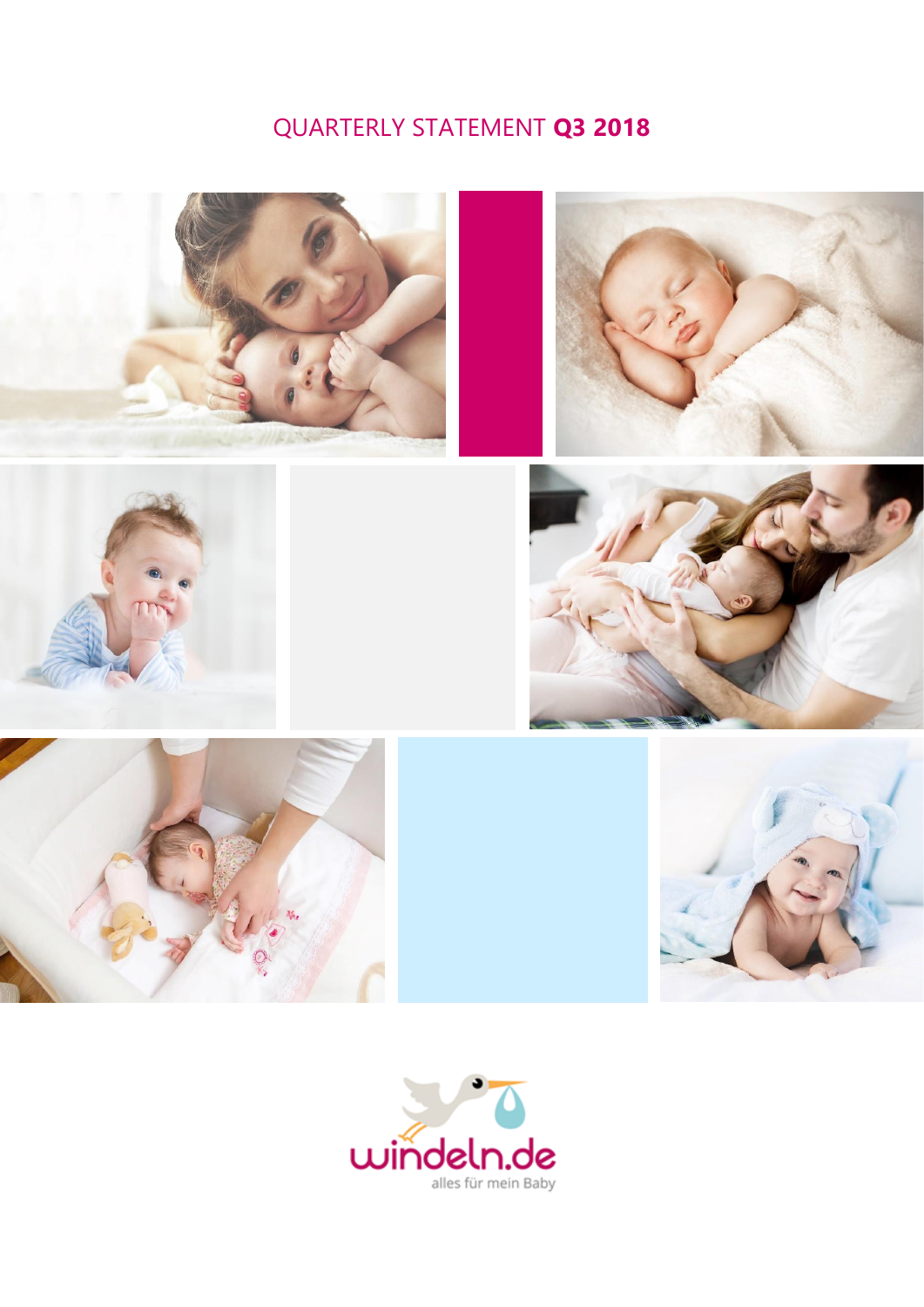# QUARTERLY STATEMENT **Q3 2018**













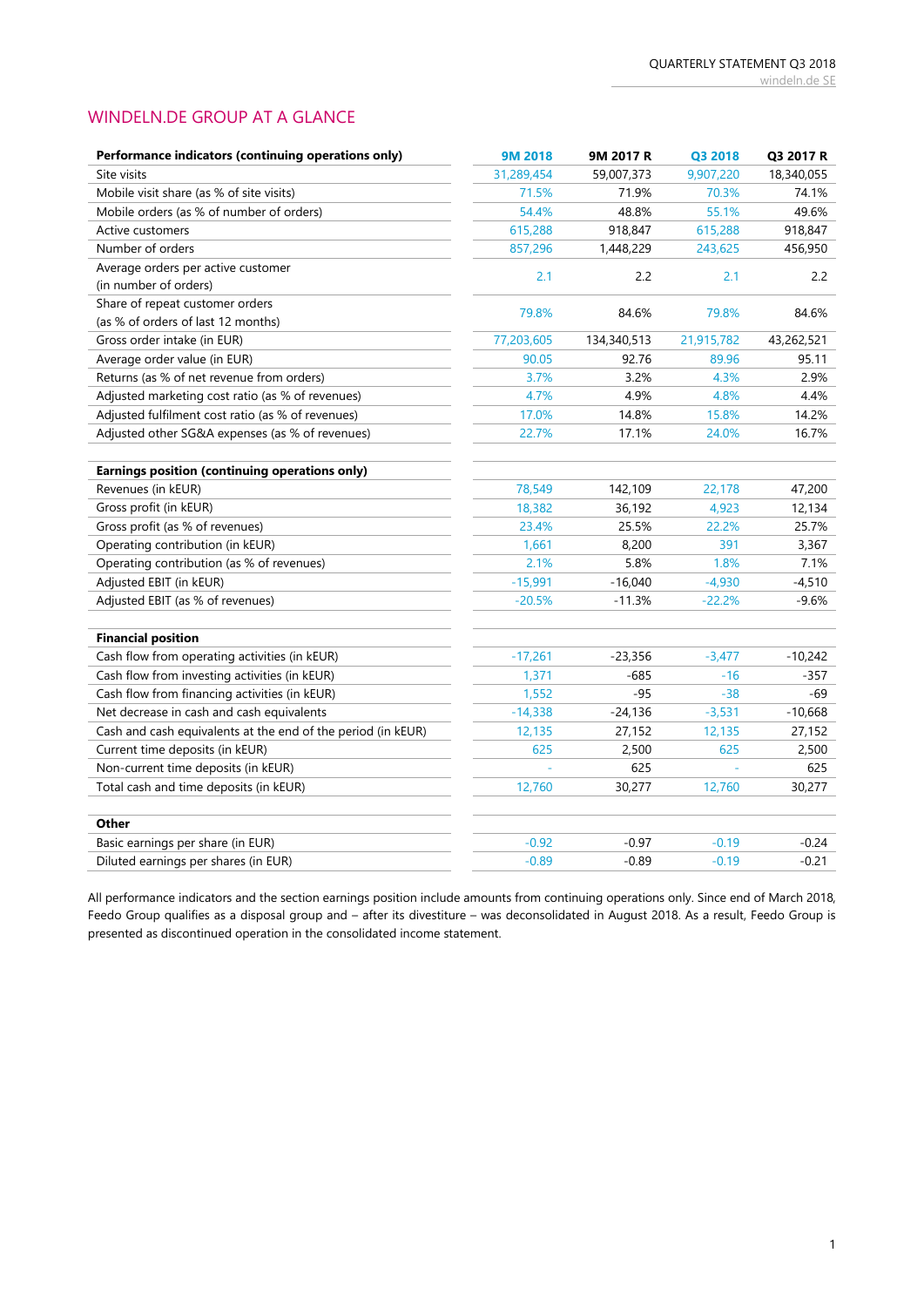## WINDELN.DE GROUP AT A GLANCE

| Performance indicators (continuing operations only)          | 9M 2018    | 9M 2017 R   | Q3 2018    | Q3 2017 R  |
|--------------------------------------------------------------|------------|-------------|------------|------------|
| Site visits                                                  | 31,289,454 | 59,007,373  | 9,907,220  | 18,340,055 |
| Mobile visit share (as % of site visits)                     | 71.5%      | 71.9%       | 70.3%      | 74.1%      |
| Mobile orders (as % of number of orders)                     | 54.4%      | 48.8%       | 55.1%      | 49.6%      |
| <b>Active customers</b>                                      | 615,288    | 918,847     | 615,288    | 918,847    |
| Number of orders                                             | 857,296    | 1,448,229   | 243,625    | 456,950    |
| Average orders per active customer                           |            |             |            | 2.2        |
| (in number of orders)                                        | 2.1        | 2.2         | 2.1        |            |
| Share of repeat customer orders                              | 79.8%      | 84.6%       | 79.8%      | 84.6%      |
| (as % of orders of last 12 months)                           |            |             |            |            |
| Gross order intake (in EUR)                                  | 77,203,605 | 134,340,513 | 21,915,782 | 43,262,521 |
| Average order value (in EUR)                                 | 90.05      | 92.76       | 89.96      | 95.11      |
| Returns (as % of net revenue from orders)                    | 3.7%       | 3.2%        | 4.3%       | 2.9%       |
| Adjusted marketing cost ratio (as % of revenues)             | 4.7%       | 4.9%        | 4.8%       | 4.4%       |
| Adjusted fulfilment cost ratio (as % of revenues)            | 17.0%      | 14.8%       | 15.8%      | 14.2%      |
| Adjusted other SG&A expenses (as % of revenues)              | 22.7%      | 17.1%       | 24.0%      | 16.7%      |
|                                                              |            |             |            |            |
| Earnings position (continuing operations only)               |            |             |            |            |
| Revenues (in kEUR)                                           | 78,549     | 142,109     | 22,178     | 47,200     |
| Gross profit (in kEUR)                                       | 18,382     | 36,192      | 4,923      | 12,134     |
| Gross profit (as % of revenues)                              | 23.4%      | 25.5%       | 22.2%      | 25.7%      |
| Operating contribution (in kEUR)                             | 1,661      | 8,200       | 391        | 3,367      |
| Operating contribution (as % of revenues)                    | 2.1%       | 5.8%        | 1.8%       | 7.1%       |
| Adjusted EBIT (in kEUR)                                      | $-15,991$  | $-16,040$   | $-4,930$   | $-4,510$   |
| Adjusted EBIT (as % of revenues)                             | $-20.5%$   | $-11.3%$    | $-22.2%$   | $-9.6%$    |
|                                                              |            |             |            |            |
| <b>Financial position</b>                                    |            |             |            |            |
| Cash flow from operating activities (in kEUR)                | $-17,261$  | $-23,356$   | $-3,477$   | $-10,242$  |
| Cash flow from investing activities (in kEUR)                | 1,371      | $-685$      | $-16$      | $-357$     |
| Cash flow from financing activities (in kEUR)                | 1,552      | $-95$       | $-38$      | $-69$      |
| Net decrease in cash and cash equivalents                    | $-14,338$  | $-24,136$   | $-3,531$   | $-10,668$  |
| Cash and cash equivalents at the end of the period (in kEUR) | 12,135     | 27,152      | 12,135     | 27,152     |
| Current time deposits (in kEUR)                              | 625        | 2,500       | 625        | 2,500      |
| Non-current time deposits (in kEUR)                          |            | 625         |            | 625        |
| Total cash and time deposits (in kEUR)                       | 12,760     | 30,277      | 12,760     | 30,277     |
|                                                              |            |             |            |            |
| Other                                                        |            |             |            |            |
| Basic earnings per share (in EUR)                            | $-0.92$    | $-0.97$     | $-0.19$    | $-0.24$    |
| Diluted earnings per shares (in EUR)                         | $-0.89$    | $-0.89$     | $-0.19$    | $-0.21$    |

All performance indicators and the section earnings position include amounts from continuing operations only. Since end of March 2018, Feedo Group qualifies as a disposal group and – after its divestiture – was deconsolidated in August 2018. As a result, Feedo Group is presented as discontinued operation in the consolidated income statement.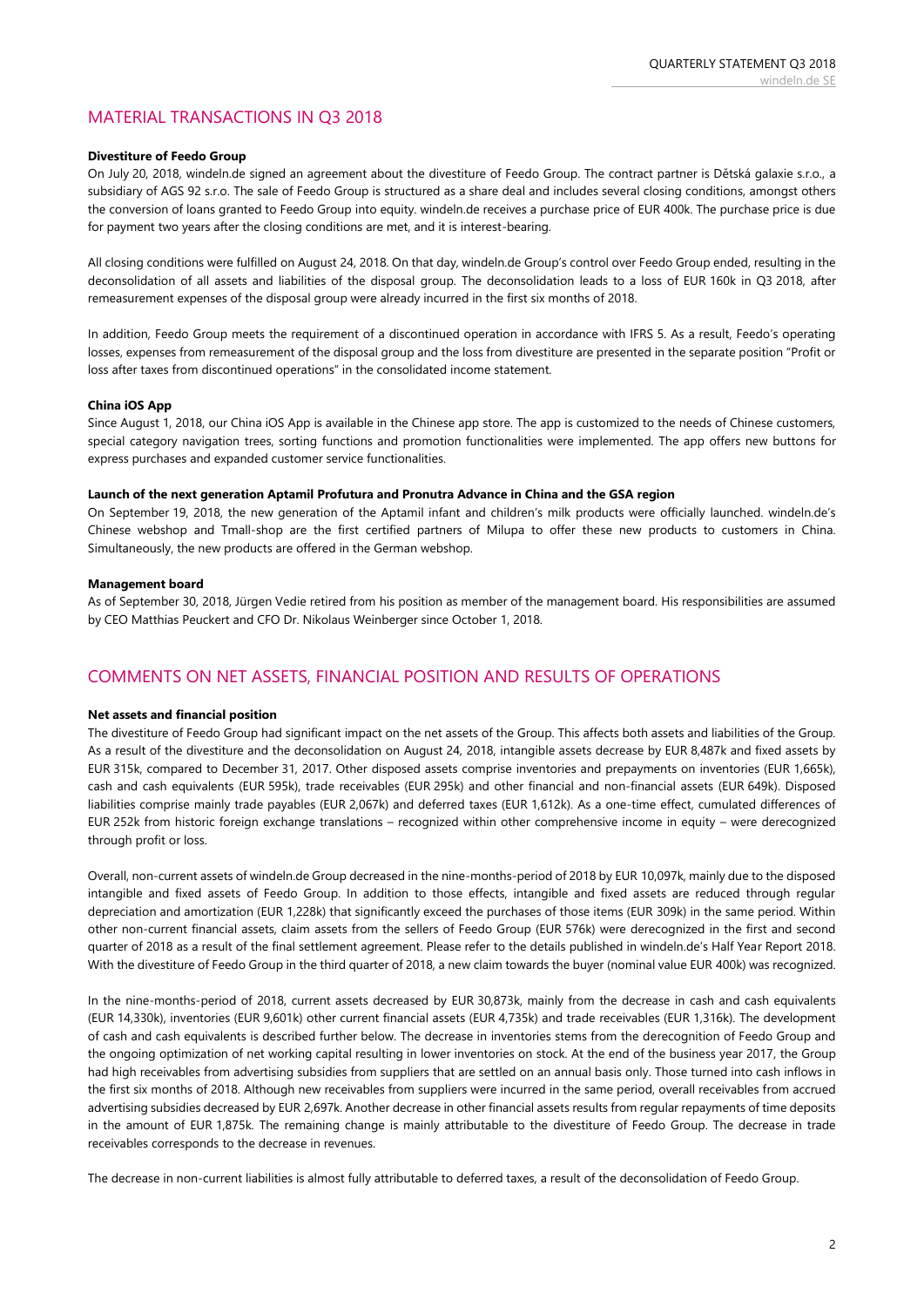## MATERIAL TRANSACTIONS IN Q3 2018

#### **Divestiture of Feedo Group**

On July 20, 2018, windeln.de signed an agreement about the divestiture of Feedo Group. The contract partner is Dětská galaxie s.r.o., a subsidiary of AGS 92 s.r.o. The sale of Feedo Group is structured as a share deal and includes several closing conditions, amongst others the conversion of loans granted to Feedo Group into equity. windeln.de receives a purchase price of EUR 400k. The purchase price is due for payment two years after the closing conditions are met, and it is interest-bearing.

All closing conditions were fulfilled on August 24, 2018. On that day, windeln.de Group's control over Feedo Group ended, resulting in the deconsolidation of all assets and liabilities of the disposal group. The deconsolidation leads to a loss of EUR 160k in Q3 2018, after remeasurement expenses of the disposal group were already incurred in the first six months of 2018.

In addition, Feedo Group meets the requirement of a discontinued operation in accordance with IFRS 5. As a result, Feedo's operating losses, expenses from remeasurement of the disposal group and the loss from divestiture are presented in the separate position "Profit or loss after taxes from discontinued operations" in the consolidated income statement.

#### **China iOS App**

Since August 1, 2018, our China iOS App is available in the Chinese app store. The app is customized to the needs of Chinese customers, special category navigation trees, sorting functions and promotion functionalities were implemented. The app offers new buttons for express purchases and expanded customer service functionalities.

#### **Launch of the next generation Aptamil Profutura and Pronutra Advance in China and the GSA region**

On September 19, 2018, the new generation of the Aptamil infant and children's milk products were officially launched. windeln.de's Chinese webshop and Tmall-shop are the first certified partners of Milupa to offer these new products to customers in China. Simultaneously, the new products are offered in the German webshop.

#### **Management board**

As of September 30, 2018, Jürgen Vedie retired from his position as member of the management board. His responsibilities are assumed by CEO Matthias Peuckert and CFO Dr. Nikolaus Weinberger since October 1, 2018.

### COMMENTS ON NET ASSETS, FINANCIAL POSITION AND RESULTS OF OPERATIONS

#### **Net assets and financial position**

The divestiture of Feedo Group had significant impact on the net assets of the Group. This affects both assets and liabilities of the Group. As a result of the divestiture and the deconsolidation on August 24, 2018, intangible assets decrease by EUR 8,487k and fixed assets by EUR 315k, compared to December 31, 2017. Other disposed assets comprise inventories and prepayments on inventories (EUR 1,665k), cash and cash equivalents (EUR 595k), trade receivables (EUR 295k) and other financial and non-financial assets (EUR 649k). Disposed liabilities comprise mainly trade payables (EUR 2,067k) and deferred taxes (EUR 1,612k). As a one-time effect, cumulated differences of EUR 252k from historic foreign exchange translations – recognized within other comprehensive income in equity – were derecognized through profit or loss.

Overall, non-current assets of windeln.de Group decreased in the nine-months-period of 2018 by EUR 10,097k, mainly due to the disposed intangible and fixed assets of Feedo Group. In addition to those effects, intangible and fixed assets are reduced through regular depreciation and amortization (EUR 1,228k) that significantly exceed the purchases of those items (EUR 309k) in the same period. Within other non-current financial assets, claim assets from the sellers of Feedo Group (EUR 576k) were derecognized in the first and second quarter of 2018 as a result of the final settlement agreement. Please refer to the details published in windeln.de's Half Year Report 2018. With the divestiture of Feedo Group in the third quarter of 2018, a new claim towards the buyer (nominal value EUR 400k) was recognized.

In the nine-months-period of 2018, current assets decreased by EUR 30,873k, mainly from the decrease in cash and cash equivalents (EUR 14,330k), inventories (EUR 9,601k) other current financial assets (EUR 4,735k) and trade receivables (EUR 1,316k). The development of cash and cash equivalents is described further below. The decrease in inventories stems from the derecognition of Feedo Group and the ongoing optimization of net working capital resulting in lower inventories on stock. At the end of the business year 2017, the Group had high receivables from advertising subsidies from suppliers that are settled on an annual basis only. Those turned into cash inflows in the first six months of 2018. Although new receivables from suppliers were incurred in the same period, overall receivables from accrued advertising subsidies decreased by EUR 2,697k. Another decrease in other financial assets results from regular repayments of time deposits in the amount of EUR 1,875k. The remaining change is mainly attributable to the divestiture of Feedo Group. The decrease in trade receivables corresponds to the decrease in revenues.

The decrease in non-current liabilities is almost fully attributable to deferred taxes, a result of the deconsolidation of Feedo Group.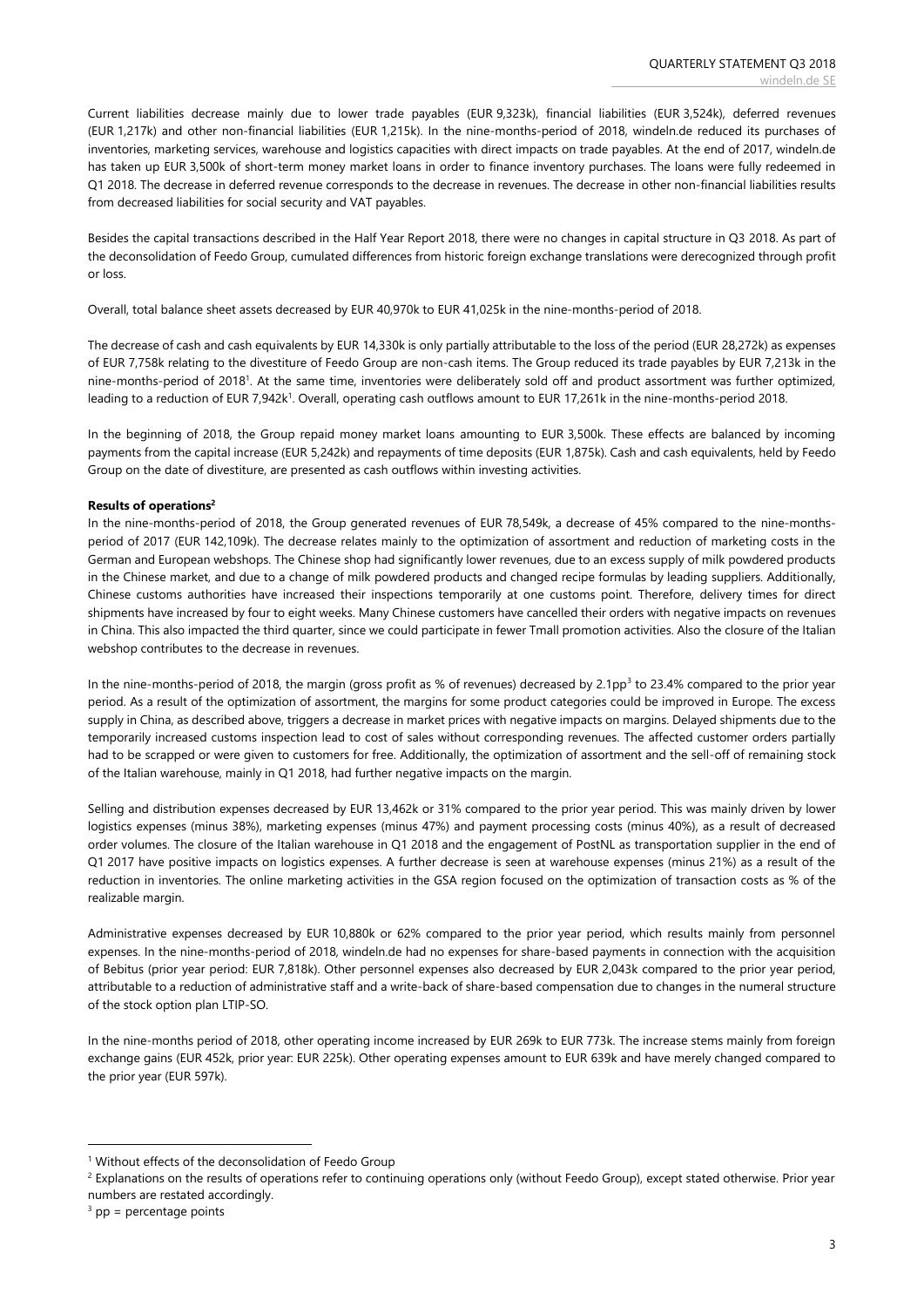Current liabilities decrease mainly due to lower trade payables (EUR 9,323k), financial liabilities (EUR 3,524k), deferred revenues (EUR 1,217k) and other non-financial liabilities (EUR 1,215k). In the nine-months-period of 2018, windeln.de reduced its purchases of inventories, marketing services, warehouse and logistics capacities with direct impacts on trade payables. At the end of 2017, windeln.de has taken up EUR 3,500k of short-term money market loans in order to finance inventory purchases. The loans were fully redeemed in Q1 2018. The decrease in deferred revenue corresponds to the decrease in revenues. The decrease in other non-financial liabilities results from decreased liabilities for social security and VAT payables.

Besides the capital transactions described in the Half Year Report 2018, there were no changes in capital structure in Q3 2018. As part of the deconsolidation of Feedo Group, cumulated differences from historic foreign exchange translations were derecognized through profit or loss.

Overall, total balance sheet assets decreased by EUR 40,970k to EUR 41,025k in the nine-months-period of 2018.

The decrease of cash and cash equivalents by EUR 14,330k is only partially attributable to the loss of the period (EUR 28,272k) as expenses of EUR 7,758k relating to the divestiture of Feedo Group are non-cash items. The Group reduced its trade payables by EUR 7,213k in the nine-months-period of 2018<sup>1</sup> . At the same time, inventories were deliberately sold off and product assortment was further optimized, leading to a reduction of EUR 7,942k<sup>1</sup>. Overall, operating cash outflows amount to EUR 17,261k in the nine-months-period 2018.

In the beginning of 2018, the Group repaid money market loans amounting to EUR 3,500k. These effects are balanced by incoming payments from the capital increase (EUR 5,242k) and repayments of time deposits (EUR 1,875k). Cash and cash equivalents, held by Feedo Group on the date of divestiture, are presented as cash outflows within investing activities.

#### **Results of operations<sup>2</sup>**

In the nine-months-period of 2018, the Group generated revenues of EUR 78,549k, a decrease of 45% compared to the nine-monthsperiod of 2017 (EUR 142,109k). The decrease relates mainly to the optimization of assortment and reduction of marketing costs in the German and European webshops. The Chinese shop had significantly lower revenues, due to an excess supply of milk powdered products in the Chinese market, and due to a change of milk powdered products and changed recipe formulas by leading suppliers. Additionally, Chinese customs authorities have increased their inspections temporarily at one customs point. Therefore, delivery times for direct shipments have increased by four to eight weeks. Many Chinese customers have cancelled their orders with negative impacts on revenues in China. This also impacted the third quarter, since we could participate in fewer Tmall promotion activities. Also the closure of the Italian webshop contributes to the decrease in revenues.

In the nine-months-period of 2018, the margin (gross profit as % of revenues) decreased by 2.1pp<sup>3</sup> to 23.4% compared to the prior year period. As a result of the optimization of assortment, the margins for some product categories could be improved in Europe. The excess supply in China, as described above, triggers a decrease in market prices with negative impacts on margins. Delayed shipments due to the temporarily increased customs inspection lead to cost of sales without corresponding revenues. The affected customer orders partially had to be scrapped or were given to customers for free. Additionally, the optimization of assortment and the sell-off of remaining stock of the Italian warehouse, mainly in Q1 2018, had further negative impacts on the margin.

Selling and distribution expenses decreased by EUR 13,462k or 31% compared to the prior year period. This was mainly driven by lower logistics expenses (minus 38%), marketing expenses (minus 47%) and payment processing costs (minus 40%), as a result of decreased order volumes. The closure of the Italian warehouse in Q1 2018 and the engagement of PostNL as transportation supplier in the end of Q1 2017 have positive impacts on logistics expenses. A further decrease is seen at warehouse expenses (minus 21%) as a result of the reduction in inventories. The online marketing activities in the GSA region focused on the optimization of transaction costs as % of the realizable margin.

Administrative expenses decreased by EUR 10,880k or 62% compared to the prior year period, which results mainly from personnel expenses. In the nine-months-period of 2018, windeln.de had no expenses for share-based payments in connection with the acquisition of Bebitus (prior year period: EUR 7,818k). Other personnel expenses also decreased by EUR 2,043k compared to the prior year period, attributable to a reduction of administrative staff and a write-back of share-based compensation due to changes in the numeral structure of the stock option plan LTIP-SO.

In the nine-months period of 2018, other operating income increased by EUR 269k to EUR 773k. The increase stems mainly from foreign exchange gains (EUR 452k, prior year: EUR 225k). Other operating expenses amount to EUR 639k and have merely changed compared to the prior year (EUR 597k).

<sup>2</sup> Explanations on the results of operations refer to continuing operations only (without Feedo Group), except stated otherwise. Prior year numbers are restated accordingly.

**.** 

<sup>&</sup>lt;sup>1</sup> Without effects of the deconsolidation of Feedo Group

 $3$  pp = percentage points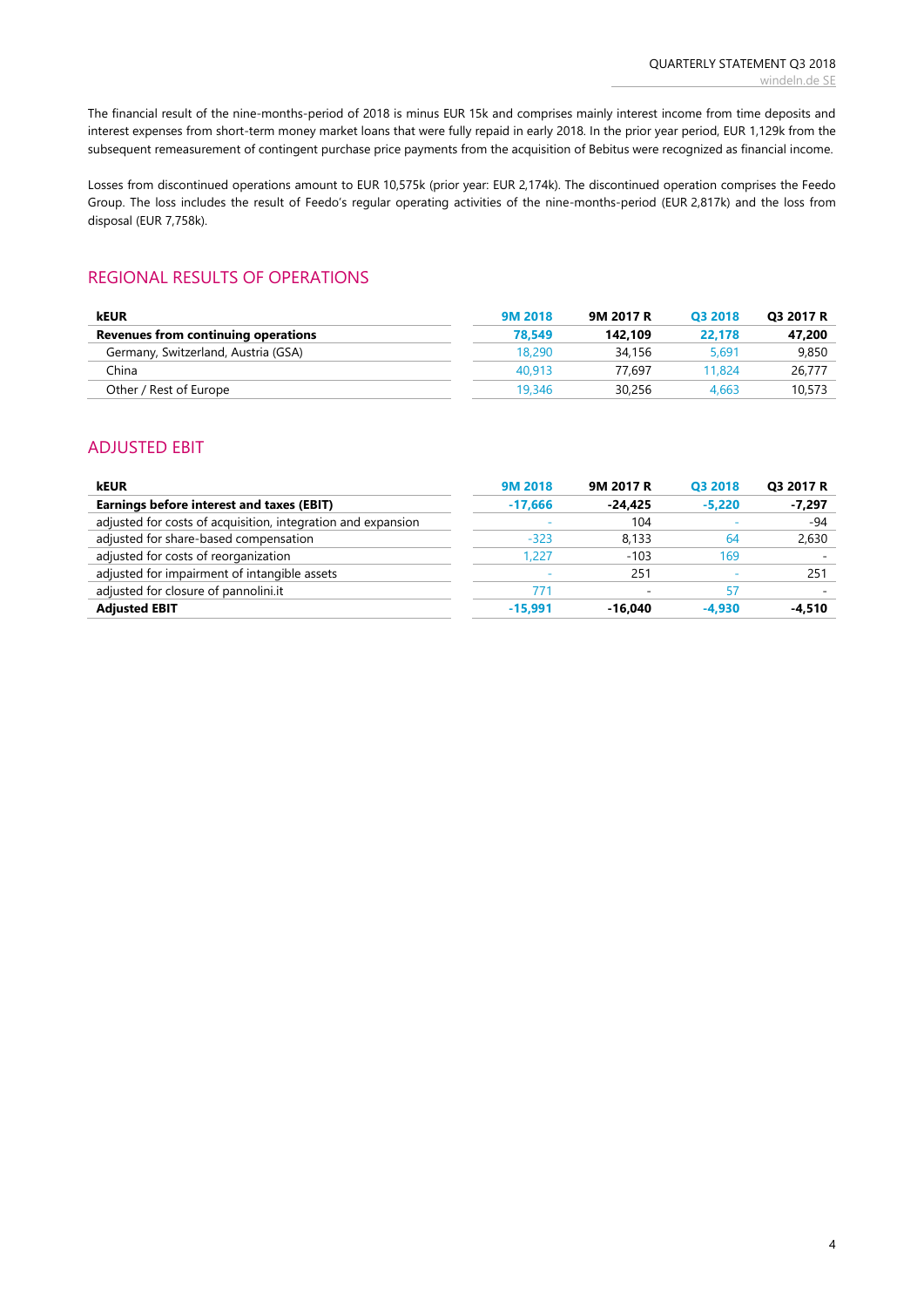The financial result of the nine-months-period of 2018 is minus EUR 15k and comprises mainly interest income from time deposits and interest expenses from short-term money market loans that were fully repaid in early 2018. In the prior year period, EUR 1,129k from the subsequent remeasurement of contingent purchase price payments from the acquisition of Bebitus were recognized as financial income.

Losses from discontinued operations amount to EUR 10,575k (prior year: EUR 2,174k). The discontinued operation comprises the Feedo Group. The loss includes the result of Feedo's regular operating activities of the nine-months-period (EUR 2,817k) and the loss from disposal (EUR 7,758k).

### REGIONAL RESULTS OF OPERATIONS

| <b>kEUR</b>                         | 9M 2018 | 9M 2017 R | 03 2018 | Q3 2017 R |
|-------------------------------------|---------|-----------|---------|-----------|
| Revenues from continuing operations | 78.549  | 142.109   | 22.178  | 47.200    |
| Germany, Switzerland, Austria (GSA) | 18,290  | 34.156    | 5,691   | 9,850     |
| China                               | 40.913  | 77.697    | 11.824  | 26.777    |
| Other / Rest of Europe              | 19,346  | 30.256    | 4.663   | 10,573    |

### ADJUSTED EBIT

| <b>kEUR</b>                                                  | 9M 2018   | 9M 2017 R | Q3 2018  | Q3 2017 R |
|--------------------------------------------------------------|-----------|-----------|----------|-----------|
| Earnings before interest and taxes (EBIT)                    | $-17.666$ | $-24.425$ | $-5.220$ | $-7,297$  |
| adjusted for costs of acquisition, integration and expansion |           | 104       |          | $-94$     |
| adjusted for share-based compensation                        | $-323$    | 8.133     | 64       | 2,630     |
| adjusted for costs of reorganization                         | 1.227     | $-103$    | 169      |           |
| adjusted for impairment of intangible assets                 |           | 251       |          | 251       |
| adjusted for closure of pannolini.it                         | 771       |           | 57       |           |
| <b>Adjusted EBIT</b>                                         | $-15.991$ | $-16.040$ | $-4.930$ | $-4.510$  |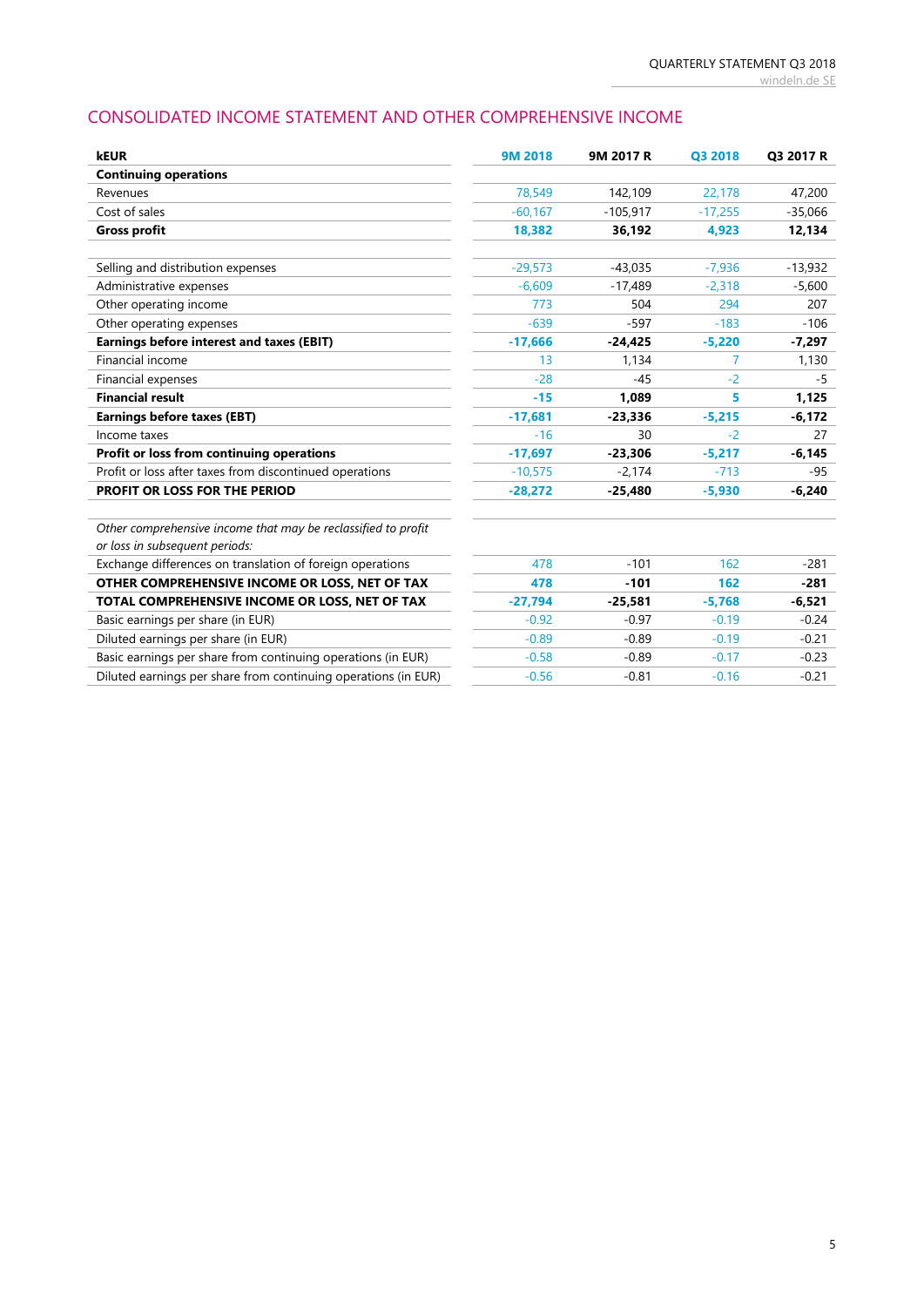# CONSOLIDATED INCOME STATEMENT AND OTHER COMPREHENSIVE INCOME

| <b>kEUR</b>                                                                                     | 9M 2018   | 9M 2017 R  | Q3 2018   | Q3 2017 R |
|-------------------------------------------------------------------------------------------------|-----------|------------|-----------|-----------|
| <b>Continuing operations</b>                                                                    |           |            |           |           |
| Revenues                                                                                        | 78,549    | 142,109    | 22,178    | 47,200    |
| Cost of sales                                                                                   | $-60,167$ | $-105,917$ | $-17,255$ | $-35,066$ |
| <b>Gross profit</b>                                                                             | 18,382    | 36,192     | 4,923     | 12,134    |
| Selling and distribution expenses                                                               | $-29,573$ | $-43,035$  | $-7,936$  | $-13,932$ |
| Administrative expenses                                                                         | $-6.609$  | $-17.489$  | $-2,318$  | $-5,600$  |
| Other operating income                                                                          | 773       | 504        | 294       | 207       |
| Other operating expenses                                                                        | $-639$    | $-597$     | $-183$    | $-106$    |
| Earnings before interest and taxes (EBIT)                                                       | $-17,666$ | $-24.425$  | $-5,220$  | $-7,297$  |
| Financial income                                                                                | 13        | 1,134      | 7         | 1,130     |
| Financial expenses                                                                              | $-28$     | $-45$      | $-2$      | -5        |
| <b>Financial result</b>                                                                         | $-15$     | 1,089      | 5         | 1,125     |
| <b>Earnings before taxes (EBT)</b>                                                              | $-17,681$ | $-23,336$  | $-5,215$  | $-6,172$  |
| Income taxes                                                                                    | $-16$     | 30         | $-2$      | 27        |
| Profit or loss from continuing operations                                                       | $-17,697$ | $-23,306$  | $-5,217$  | $-6,145$  |
| Profit or loss after taxes from discontinued operations                                         | $-10,575$ | $-2,174$   | $-713$    | $-95$     |
| PROFIT OR LOSS FOR THE PERIOD                                                                   | $-28,272$ | $-25,480$  | $-5,930$  | $-6,240$  |
| Other comprehensive income that may be reclassified to profit<br>or loss in subsequent periods: |           |            |           |           |
| Exchange differences on translation of foreign operations                                       | 478       | $-101$     | 162       | $-281$    |
| OTHER COMPREHENSIVE INCOME OR LOSS, NET OF TAX                                                  | 478       | $-101$     | 162       | $-281$    |
| TOTAL COMPREHENSIVE INCOME OR LOSS, NET OF TAX                                                  | $-27,794$ | $-25,581$  | $-5,768$  | $-6,521$  |
| Basic earnings per share (in EUR)                                                               | $-0.92$   | $-0.97$    | $-0.19$   | $-0.24$   |
| Diluted earnings per share (in EUR)                                                             | $-0.89$   | $-0.89$    | $-0.19$   | $-0.21$   |
| Basic earnings per share from continuing operations (in EUR)                                    | $-0.58$   | $-0.89$    | $-0.17$   | $-0.23$   |
| Diluted earnings per share from continuing operations (in EUR)                                  | $-0.56$   | $-0.81$    | $-0.16$   | $-0.21$   |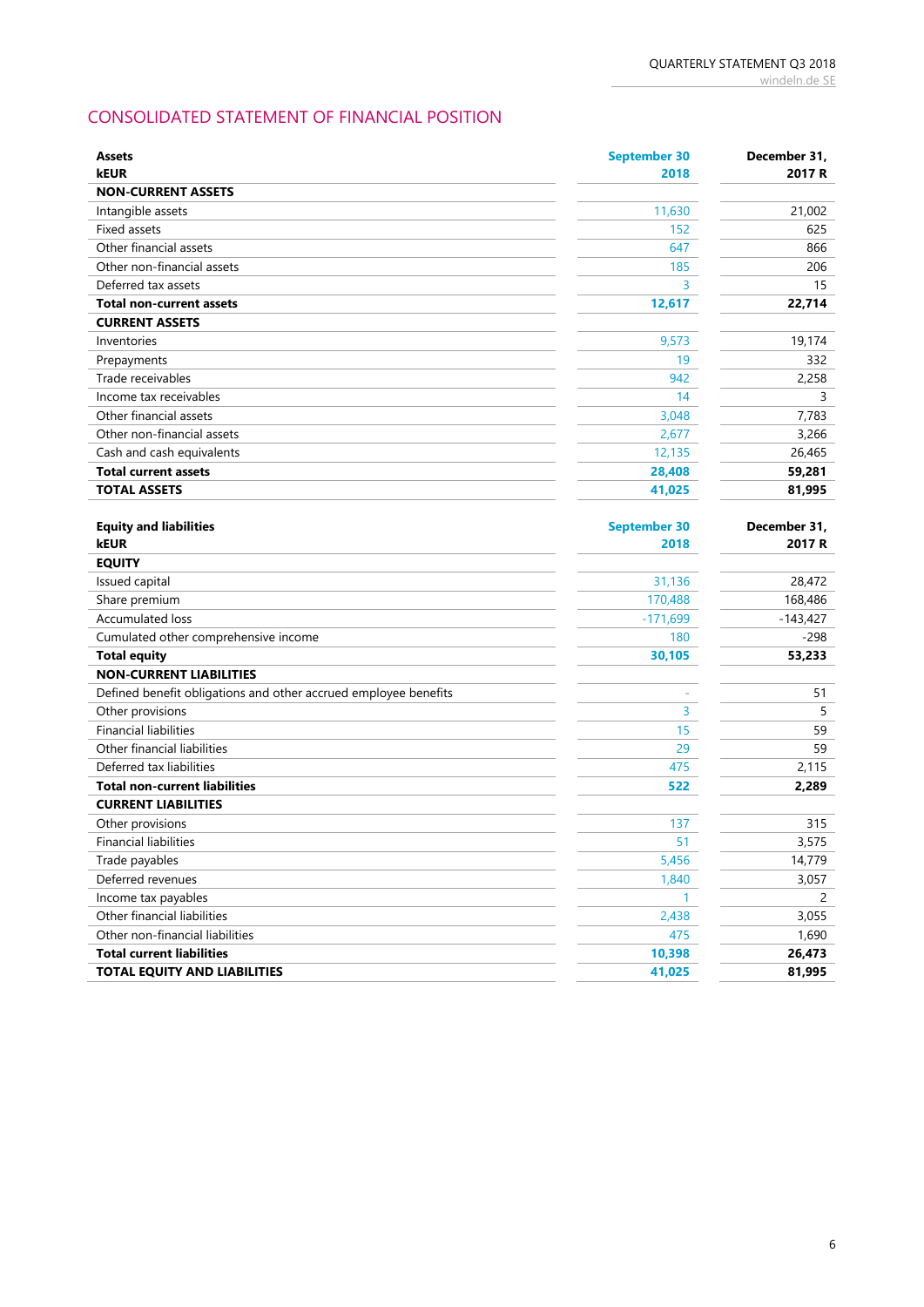# CONSOLIDATED STATEMENT OF FINANCIAL POSITION

| <b>Assets</b>                                                   | <b>September 30</b> | December 31, |
|-----------------------------------------------------------------|---------------------|--------------|
| <b>kEUR</b>                                                     | 2018                | 2017 R       |
| <b>NON-CURRENT ASSETS</b>                                       |                     |              |
| Intangible assets                                               | 11,630              | 21,002       |
| Fixed assets                                                    | 152                 | 625          |
| Other financial assets                                          | 647                 | 866          |
| Other non-financial assets                                      | 185                 | 206          |
| Deferred tax assets                                             | 3                   | 15           |
| <b>Total non-current assets</b>                                 | 12,617              | 22,714       |
| <b>CURRENT ASSETS</b>                                           |                     |              |
| Inventories                                                     | 9,573               | 19,174       |
| Prepayments                                                     | 19                  | 332          |
| Trade receivables                                               | 942                 | 2,258        |
| Income tax receivables                                          | 14                  | 3            |
| Other financial assets                                          | 3,048               | 7,783        |
| Other non-financial assets                                      | 2,677               | 3,266        |
| Cash and cash equivalents                                       | 12,135              | 26,465       |
| <b>Total current assets</b>                                     | 28,408              | 59,281       |
| <b>TOTAL ASSETS</b>                                             | 41,025              | 81,995       |
|                                                                 |                     |              |
| <b>Equity and liabilities</b>                                   | <b>September 30</b> | December 31, |
| kEUR                                                            | 2018                | 2017 R       |
| <b>EQUITY</b>                                                   |                     |              |
| Issued capital                                                  | 31,136              | 28,472       |
| Share premium                                                   | 170,488             | 168,486      |
| Accumulated loss                                                | $-171,699$          | $-143,427$   |
| Cumulated other comprehensive income                            | 180                 | $-298$       |
| <b>Total equity</b>                                             | 30,105              | 53,233       |
| <b>NON-CURRENT LIABILITIES</b>                                  |                     |              |
| Defined benefit obligations and other accrued employee benefits |                     | 51           |
| Other provisions                                                | 3                   | 5            |
| <b>Financial liabilities</b>                                    | 15                  | 59           |
| Other financial liabilities                                     | 29                  | 59           |
| Deferred tax liabilities                                        | 475                 | 2,115        |
| <b>Total non-current liabilities</b>                            | 522                 | 2,289        |
| <b>CURRENT LIABILITIES</b>                                      |                     |              |
| Other provisions                                                | 137                 | 315          |
| <b>Financial liabilities</b>                                    | 51                  | 3,575        |
| Trade payables                                                  | 5,456               | 14,779       |
| Deferred revenues                                               | 1,840               | 3,057        |
| Income tax payables                                             | $\mathbf{1}$        | 2            |
| Other financial liabilities                                     | 2,438               | 3,055        |
| Other non-financial liabilities                                 | 475                 | 1,690        |
| <b>Total current liabilities</b>                                | 10,398              | 26,473       |
| <b>TOTAL EQUITY AND LIABILITIES</b>                             | 41,025              | 81,995       |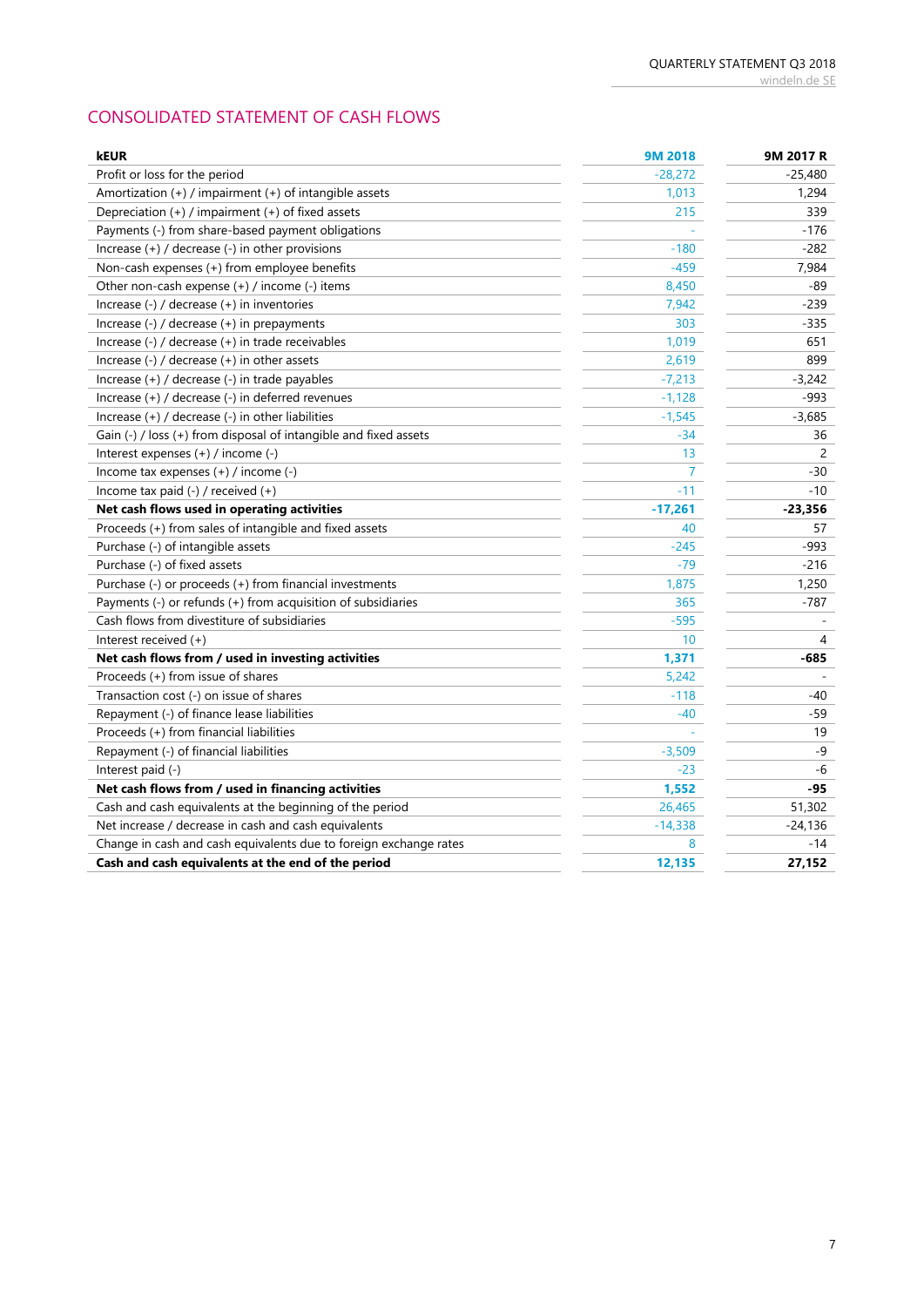# CONSOLIDATED STATEMENT OF CASH FLOWS

| <b>kEUR</b>                                                       | 9M 2018   | 9M 2017 R |
|-------------------------------------------------------------------|-----------|-----------|
| Profit or loss for the period                                     | $-28,272$ | $-25,480$ |
| Amortization (+) / impairment (+) of intangible assets            | 1,013     | 1,294     |
| Depreciation (+) / impairment (+) of fixed assets                 | 215       | 339       |
| Payments (-) from share-based payment obligations                 |           | $-176$    |
| Increase (+) / decrease (-) in other provisions                   | $-180$    | $-282$    |
| Non-cash expenses (+) from employee benefits                      | $-459$    | 7,984     |
| Other non-cash expense (+) / income (-) items                     | 8,450     | -89       |
| Increase (-) / decrease (+) in inventories                        | 7,942     | $-239$    |
| Increase (-) / decrease (+) in prepayments                        | 303       | $-335$    |
| Increase (-) / decrease (+) in trade receivables                  | 1,019     | 651       |
| Increase $(-)$ / decrease $(+)$ in other assets                   | 2,619     | 899       |
| Increase (+) / decrease (-) in trade payables                     | $-7,213$  | $-3,242$  |
| Increase (+) / decrease (-) in deferred revenues                  | $-1,128$  | $-993$    |
| Increase (+) / decrease (-) in other liabilities                  | $-1,545$  | $-3,685$  |
| Gain (-) / loss (+) from disposal of intangible and fixed assets  | $-34$     | 36        |
| Interest expenses (+) / income (-)                                | 13        | 2         |
| Income tax expenses (+) / income (-)                              | 7         | -30       |
| Income tax paid (-) / received (+)                                | $-11$     | $-10$     |
| Net cash flows used in operating activities                       | $-17,261$ | $-23,356$ |
| Proceeds (+) from sales of intangible and fixed assets            | 40        | 57        |
| Purchase (-) of intangible assets                                 | $-245$    | -993      |
| Purchase (-) of fixed assets                                      | $-79$     | $-216$    |
| Purchase (-) or proceeds (+) from financial investments           | 1,875     | 1,250     |
| Payments (-) or refunds (+) from acquisition of subsidiaries      | 365       | $-787$    |
| Cash flows from divestiture of subsidiaries                       | $-595$    |           |
| Interest received (+)                                             | 10        | 4         |
| Net cash flows from / used in investing activities                | 1,371     | -685      |
| Proceeds (+) from issue of shares                                 | 5,242     |           |
| Transaction cost (-) on issue of shares                           | $-118$    | -40       |
| Repayment (-) of finance lease liabilities                        | $-40$     | -59       |
| Proceeds (+) from financial liabilities                           |           | 19        |
| Repayment (-) of financial liabilities                            | $-3,509$  | $-9$      |
| Interest paid (-)                                                 | $-23$     | $-6$      |
| Net cash flows from / used in financing activities                | 1,552     | -95       |
| Cash and cash equivalents at the beginning of the period          | 26,465    | 51,302    |
| Net increase / decrease in cash and cash equivalents              | $-14,338$ | $-24,136$ |
| Change in cash and cash equivalents due to foreign exchange rates | 8         | $-14$     |
| Cash and cash equivalents at the end of the period                | 12,135    | 27,152    |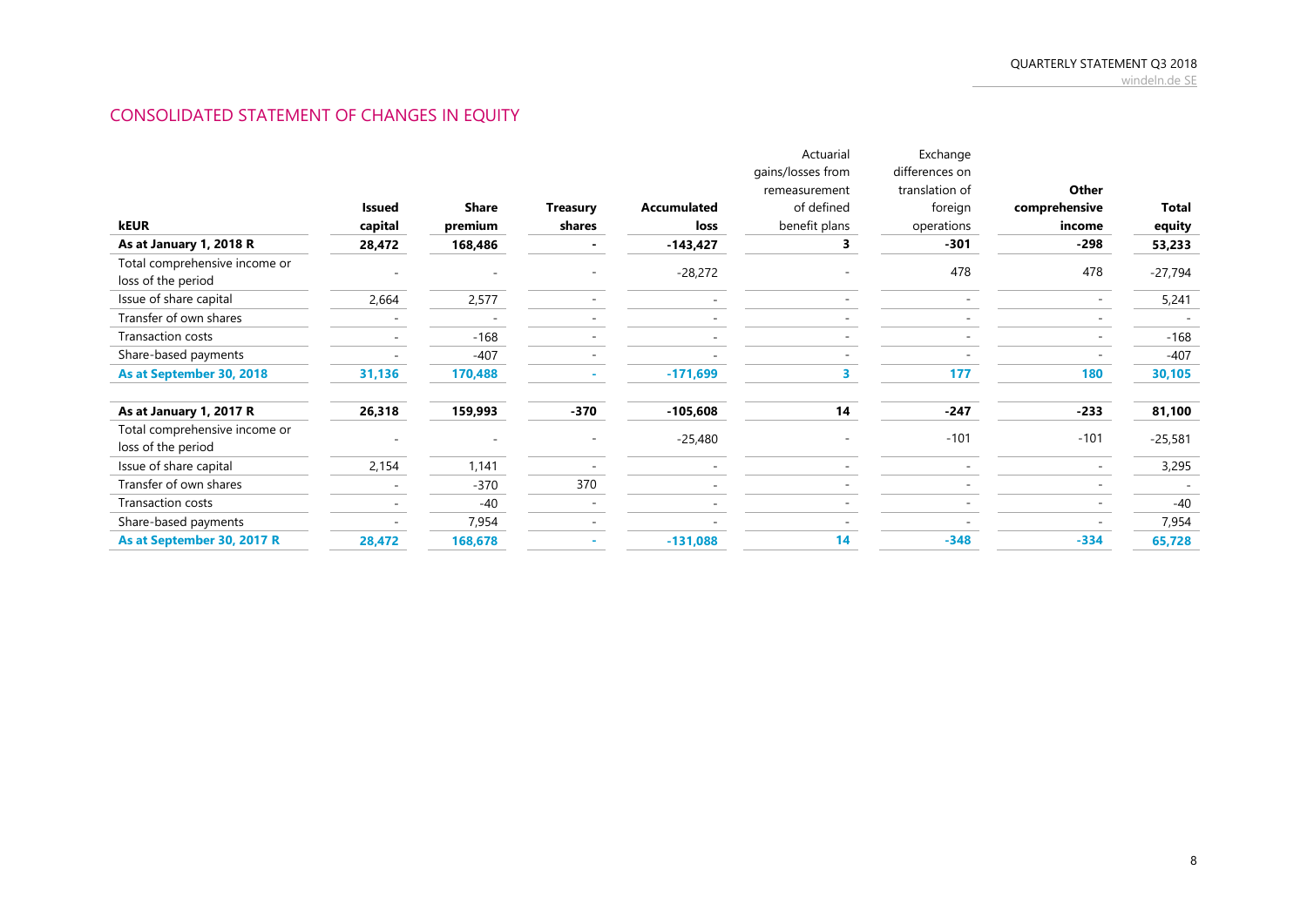# CONSOLIDATED STATEMENT OF CHANGES IN EQUITY

|                                                     |         |              |                 |                    | Actuarial         | Exchange       |               |           |
|-----------------------------------------------------|---------|--------------|-----------------|--------------------|-------------------|----------------|---------------|-----------|
|                                                     |         |              |                 |                    | gains/losses from | differences on |               |           |
|                                                     |         |              |                 |                    | remeasurement     | translation of | Other         |           |
|                                                     | Issued  | <b>Share</b> | <b>Treasury</b> | <b>Accumulated</b> | of defined        | foreign        | comprehensive | Total     |
| kEUR                                                | capital | premium      | shares          | loss               | benefit plans     | operations     | income        | equity    |
| As at January 1, 2018 R                             | 28,472  | 168,486      |                 | $-143,427$         |                   | $-301$         | $-298$        | 53,233    |
| Total comprehensive income or<br>loss of the period |         |              |                 | $-28,272$          |                   | 478            | 478           | $-27,794$ |
| Issue of share capital                              | 2,664   | 2,577        |                 |                    |                   |                |               | 5,241     |
| Transfer of own shares                              |         |              |                 |                    |                   |                |               |           |
| Transaction costs                                   |         | $-168$       |                 |                    |                   |                |               | $-168$    |
| Share-based payments                                |         | $-407$       |                 |                    |                   |                |               | $-407$    |
| As at September 30, 2018                            | 31,136  | 170,488      |                 | $-171,699$         |                   | 177            | 180           | 30,105    |
| As at January 1, 2017 R                             | 26,318  | 159,993      | $-370$          | $-105,608$         | 14                | $-247$         | $-233$        | 81,100    |
| Total comprehensive income or                       |         |              |                 |                    |                   | $-101$         | $-101$        |           |
| loss of the period                                  |         |              |                 | $-25,480$          |                   |                |               | $-25,581$ |
| Issue of share capital                              | 2,154   | 1,141        |                 |                    |                   |                |               | 3,295     |
| Transfer of own shares                              |         | $-370$       | 370             |                    |                   |                |               |           |
| Transaction costs                                   |         | $-40$        |                 |                    |                   |                |               | $-40$     |
| Share-based payments                                |         | 7,954        |                 |                    |                   |                |               | 7,954     |
| As at September 30, 2017 R                          | 28,472  | 168,678      |                 | $-131,088$         | 14                | $-348$         | $-334$        | 65,728    |
|                                                     |         |              |                 |                    |                   |                |               |           |